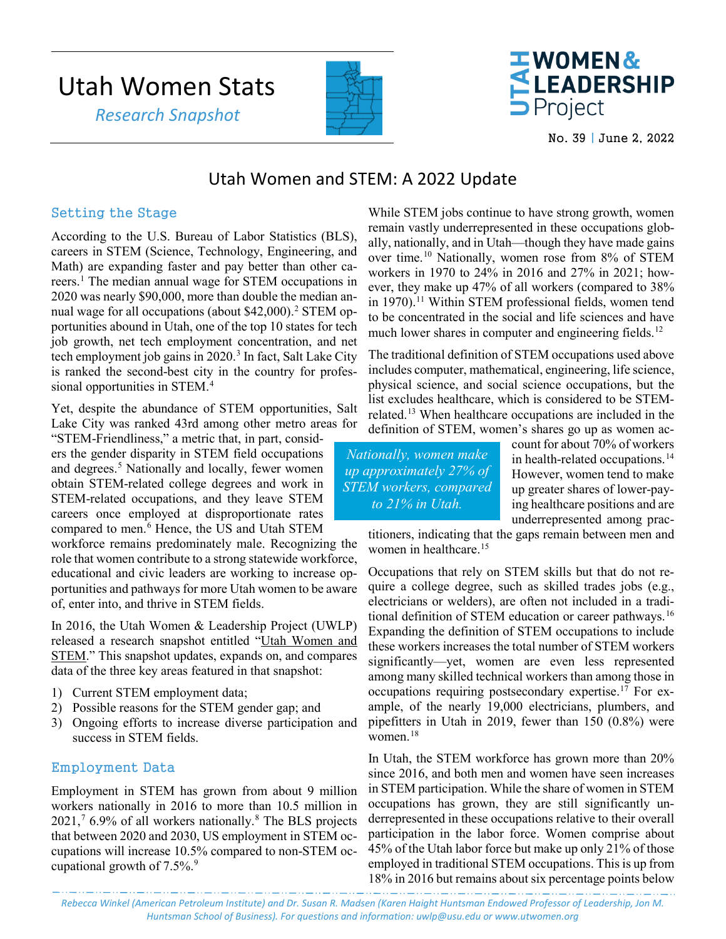# Utah Women Stats

 *Research Snapshot*





No. 39 | June 2, 2022

## Utah Women and STEM: A 2022 Update

#### Setting the Stage

According to the U.S. Bureau of Labor Statistics (BLS), careers in STEM (Science, Technology, Engineering, and Math) are expanding faster and pay better than other careers.[1](#page-2-0) The median annual wage for STEM occupations in 2020 was nearly \$90,000, more than double the median an-nual wage for all occupations (about \$4[2](#page-2-1),000).<sup>2</sup> STEM opportunities abound in Utah, one of the top 10 states for tech job growth, net tech employment concentration, and net tech employment job gains in 2020. [3](#page-2-2) In fact, Salt Lake City is ranked the second-best city in the country for profes-sional opportunities in STEM.<sup>[4](#page-2-3)</sup>

Yet, despite the abundance of STEM opportunities, Salt Lake City was ranked 43rd among other metro areas for

"STEM-Friendliness," a metric that, in part, considers the gender disparity in STEM field occupations and degrees.<sup>5</sup> Nationally and locally, fewer women obtain STEM-related college degrees and work in STEM-related occupations, and they leave STEM careers once employed at disproportionate rates compared to men.<sup>[6](#page-2-5)</sup> Hence, the US and Utah STEM

workforce remains predominately male. Recognizing the role that women contribute to a strong statewide workforce, educational and civic leaders are working to increase opportunities and pathways for more Utah women to be aware of, enter into, and thrive in STEM fields.

In 2016, the Utah Women & Leadership Project (UWLP) released a research snapshot entitled ["Utah Women and](https://www.usu.edu/uwlp/files/snapshot/16.pdf)  [STEM.](https://www.usu.edu/uwlp/files/snapshot/16.pdf)" This snapshot updates, expands on, and compares data of the three key areas featured in that snapshot:

- 1) Current STEM employment data;
- 2) Possible reasons for the STEM gender gap; and
- 3) Ongoing efforts to increase diverse participation and success in STEM fields.

#### Employment Data

Employment in STEM has grown from about 9 million workers nationally in 2016 to more than 10.5 million in 2021, [7](#page-3-0) 6.9% of all workers nationally.[8](#page-3-1) The BLS projects that between 2020 and 2030, US employment in STEM occupations will increase 10.5% compared to non-STEM occupational growth of  $7.5\%$ .<sup>[9](#page-3-2)</sup>

While STEM jobs continue to have strong growth, women remain vastly underrepresented in these occupations globally, nationally, and in Utah—though they have made gains over time.[10](#page-3-3) Nationally, women rose from 8% of STEM workers in 1970 to 24% in 2016 and 27% in 2021; however, they make up 47% of all workers (compared to 38% in 1970).<sup>[11](#page-3-4)</sup> Within STEM professional fields, women tend to be concentrated in the social and life sciences and have much lower shares in computer and engineering fields.<sup>12</sup>

The traditional definition of STEM occupations used above includes computer, mathematical, engineering, life science, physical science, and social science occupations, but the list excludes healthcare, which is considered to be STEMrelated.[13](#page-3-6) When healthcare occupations are included in the definition of STEM, women's shares go up as women ac-

*Nationally, women make up approximately 27% of STEM workers, compared to 21% in Utah.* 

count for about 70% of workers in health-related occupations.<sup>[14](#page-3-7)</sup> However, women tend to make up greater shares of lower-paying healthcare positions and are underrepresented among prac-

titioners, indicating that the gaps remain between men and women in healthcare. [15](#page-3-8)

Occupations that rely on STEM skills but that do not require a college degree, such as skilled trades jobs (e.g., electricians or welders), are often not included in a tradi-tional definition of STEM education or career pathways.<sup>[16](#page-3-9)</sup> Expanding the definition of STEM occupations to include these workers increases the total number of STEM workers significantly—yet, women are even less represented among many skilled technical workers than among those in occupations requiring postsecondary expertise. [17](#page-3-10) For example, of the nearly 19,000 electricians, plumbers, and pipefitters in Utah in 2019, fewer than 150 (0.8%) were women.[18](#page-3-11)

In Utah, the STEM workforce has grown more than 20% since 2016, and both men and women have seen increases in STEM participation. While the share of women in STEM occupations has grown, they are still significantly underrepresented in these occupations relative to their overall participation in the labor force. Women comprise about 45% of the Utah labor force but make up only 21% of those employed in traditional STEM occupations. This is up from 18% in 2016 but remains about six percentage points below

*Rebecca Winkel (American Petroleum Institute) and Dr. Susan R. Madsen (Karen Haight Huntsman Endowed Professor of Leadership, Jon M. Huntsman School of Business). For questions and information: uwlp@usu.edu or www.utwomen.org*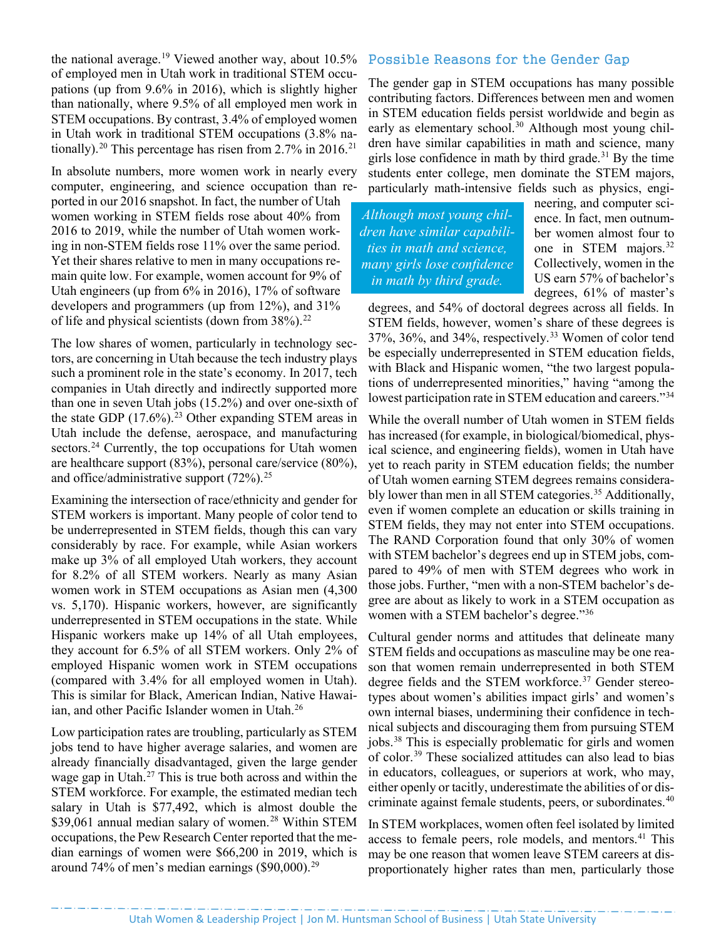the national average.<sup>[19](#page-3-12)</sup> Viewed another way, about  $10.5\%$ of employed men in Utah work in traditional STEM occupations (up from 9.6% in 2016), which is slightly higher than nationally, where 9.5% of all employed men work in STEM occupations. By contrast, 3.4% of employed women in Utah work in traditional STEM occupations (3.8% na-tionally).<sup>[20](#page-3-13)</sup> This percentage has risen from 2.7% in 2016.<sup>[21](#page-3-14)</sup>

In absolute numbers, more women work in nearly every computer, engineering, and science occupation than reported in our 2016 snapshot. In fact, the number of Utah women working in STEM fields rose about 40% from 2016 to 2019, while the number of Utah women working in non-STEM fields rose 11% over the same period. Yet their shares relative to men in many occupations remain quite low. For example, women account for 9% of Utah engineers (up from 6% in 2016), 17% of software developers and programmers (up from 12%), and 31% of life and physical scientists (down from  $38\%$ ).<sup>[22](#page-3-15)</sup>

The low shares of women, particularly in technology sectors, are concerning in Utah because the tech industry plays such a prominent role in the state's economy. In 2017, tech companies in Utah directly and indirectly supported more than one in seven Utah jobs (15.2%) and over one-sixth of the state GDP  $(17.6\%)$ .<sup>[23](#page-3-16)</sup> Other expanding STEM areas in Utah include the defense, aerospace, and manufacturing sectors.<sup>[24](#page-3-17)</sup> Currently, the top occupations for Utah women are healthcare support (83%), personal care/service (80%), and office/administrative support (72%).<sup>[25](#page-3-18)</sup>

Examining the intersection of race/ethnicity and gender for STEM workers is important. Many people of color tend to be underrepresented in STEM fields, though this can vary considerably by race. For example, while Asian workers make up 3% of all employed Utah workers, they account for 8.2% of all STEM workers. Nearly as many Asian women work in STEM occupations as Asian men (4,300 vs. 5,170). Hispanic workers, however, are significantly underrepresented in STEM occupations in the state. While Hispanic workers make up 14% of all Utah employees, they account for 6.5% of all STEM workers. Only 2% of employed Hispanic women work in STEM occupations (compared with 3.4% for all employed women in Utah). This is similar for Black, American Indian, Native Hawai-ian, and other Pacific Islander women in Utah.<sup>[26](#page-3-19)</sup>

Low participation rates are troubling, particularly as STEM jobs tend to have higher average salaries, and women are already financially disadvantaged, given the large gender wage gap in Utah.[27](#page-3-20) This is true both across and within the STEM workforce. For example, the estimated median tech salary in Utah is \$77,492, which is almost double the \$39,061 annual median salary of women.<sup>[28](#page-3-21)</sup> Within STEM occupations, the Pew Research Center reported that the median earnings of women were \$66,200 in 2019, which is around 74% of men's median earnings  $(\$90,000).^{29}$ 

#### Possible Reasons for the Gender Gap

The gender gap in STEM occupations has many possible contributing factors. Differences between men and women in STEM education fields persist worldwide and begin as early as elementary school.<sup>[30](#page-3-23)</sup> Although most young children have similar capabilities in math and science, many girls lose confidence in math by third grade.<sup>[31](#page-3-24)</sup> By the time students enter college, men dominate the STEM majors, particularly math-intensive fields such as physics, engi-

*Although most young children have similar capabilities in math and science, many girls lose confidence in math by third grade.*

neering, and computer science. In fact, men outnumber women almost four to one in STEM majors.<sup>[32](#page-3-25)</sup> Collectively, women in the US earn 57% of bachelor's degrees, 61% of master's

degrees, and 54% of doctoral degrees across all fields. In STEM fields, however, women's share of these degrees is 37%, 36%, and 34%, respectively.[33](#page-3-26) Women of color tend be especially underrepresented in STEM education fields, with Black and Hispanic women, "the two largest populations of underrepresented minorities," having "among the lowest participation rate in STEM education and careers."<sup>[34](#page-3-27)</sup>

While the overall number of Utah women in STEM fields has increased (for example, in biological/biomedical, physical science, and engineering fields), women in Utah have yet to reach parity in STEM education fields; the number of Utah women earning STEM degrees remains considera-bly lower than men in all STEM categories.<sup>[35](#page-3-28)</sup> Additionally, even if women complete an education or skills training in STEM fields, they may not enter into STEM occupations. The RAND Corporation found that only 30% of women with STEM bachelor's degrees end up in STEM jobs, compared to 49% of men with STEM degrees who work in those jobs. Further, "men with a non-STEM bachelor's degree are about as likely to work in a STEM occupation as women with a STEM bachelor's degree."<sup>[36](#page-3-29)</sup>

Cultural gender norms and attitudes that delineate many STEM fields and occupations as masculine may be one reason that women remain underrepresented in both STEM degree fields and the STEM workforce.<sup>[37](#page-3-30)</sup> Gender stereotypes about women's abilities impact girls' and women's own internal biases, undermining their confidence in technical subjects and discouraging them from pursuing STEM jobs.<sup>[38](#page-3-31)</sup> This is especially problematic for girls and women of color.[39](#page-3-32) These socialized attitudes can also lead to bias in educators, colleagues, or superiors at work, who may, either openly or tacitly, underestimate the abilities of or dis-criminate against female students, peers, or subordinates.<sup>[40](#page-3-33)</sup>

In STEM workplaces, women often feel isolated by limited access to female peers, role models, and mentors.<sup>[41](#page-3-34)</sup> This may be one reason that women leave STEM careers at disproportionately higher rates than men, particularly those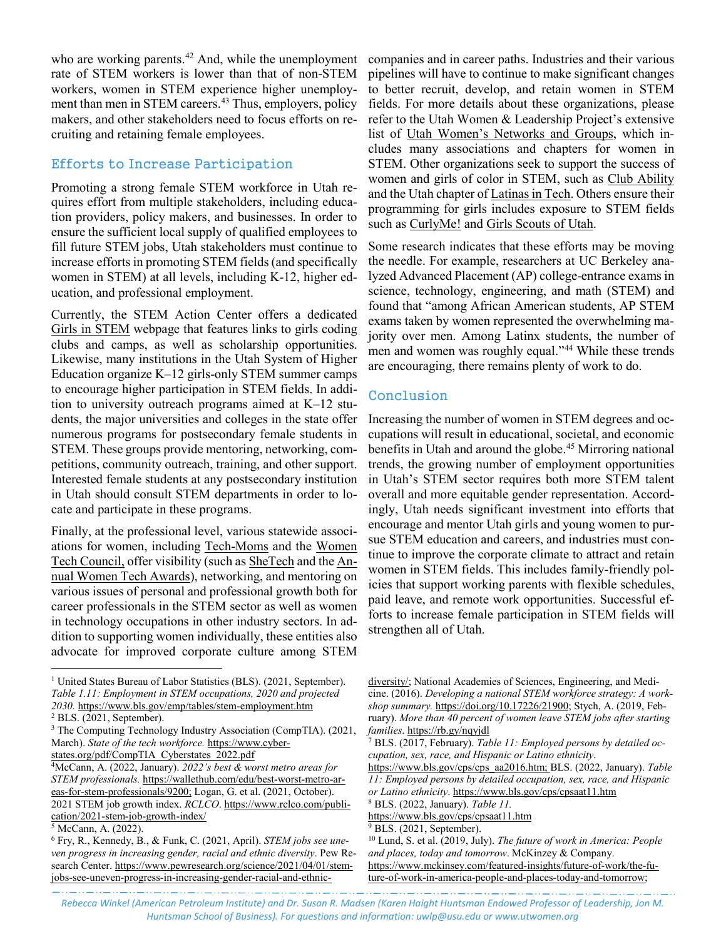who are working parents.<sup>42</sup> And, while the unemployment rate of STEM workers is lower than that of non-STEM workers, women in STEM experience higher unemployment than men in STEM careers. [43](#page-3-36) Thus, employers, policy makers, and other stakeholders need to focus efforts on recruiting and retaining female employees.

### Efforts to Increase Participation

Promoting a strong female STEM workforce in Utah requires effort from multiple stakeholders, including education providers, policy makers, and businesses. In order to ensure the sufficient local supply of qualified employees to fill future STEM jobs, Utah stakeholders must continue to increase efforts in promoting STEM fields (and specifically women in STEM) at all levels, including K-12, higher education, and professional employment.

Currently, the STEM Action Center offers a dedicated [Girls in STEM](https://stem.utah.gov/students/girls-women-in-stem/) webpage that features links to girls coding clubs and camps, as well as scholarship opportunities. Likewise, many institutions in the Utah System of Higher Education organize K–12 girls-only STEM summer camps to encourage higher participation in STEM fields. In addition to university outreach programs aimed at K–12 students, the major universities and colleges in the state offer numerous programs for postsecondary female students in STEM. These groups provide mentoring, networking, competitions, community outreach, training, and other support. Interested female students at any postsecondary institution in Utah should consult STEM departments in order to locate and participate in these programs.

Finally, at the professional level, various statewide associations for women, including [Tech-Moms](https://www.tech-moms.org/) and the [Women](https://www.womentechcouncil.com/)  [Tech Council,](https://www.womentechcouncil.com/) offer visibility (such a[s SheTech](https://shetechexplorer.com/) and th[e An](https://www.womentechcouncil.com/awards/)[nual Women Tech Awards\)](https://www.womentechcouncil.com/awards/), networking, and mentoring on various issues of personal and professional growth both for career professionals in the STEM sector as well as women in technology occupations in other industry sectors. In addition to supporting women individually, these entities also advocate for improved corporate culture among STEM

 $\overline{a}$ 

companies and in career paths. Industries and their various pipelines will have to continue to make significant changes to better recruit, develop, and retain women in STEM fields. For more details about these organizations, please refer to the Utah Women & Leadership Project's extensive list of [Utah Women's Networks and Groups,](https://www.usu.edu/uwlp/resources/utah-womens-groups) which includes many associations and chapters for women in STEM. Other organizations seek to support the success of women and girls of color in STEM, such as [Club Ability](https://www.clubability.org/stemeducation/) and the Utah chapter of [Latinas in Tech.](https://latinasintech.org/chapter/utah/) Others ensure their programming for girls includes exposure to STEM fields such as [CurlyMe!](https://curlyme.org/) and [Girls Scouts of Utah.](https://www.gsutah.org/en/events/event-calendar.html)

Some research indicates that these efforts may be moving the needle. For example, researchers at UC Berkeley analyzed Advanced Placement (AP) college-entrance exams in science, technology, engineering, and math (STEM) and found that "among African American students, AP STEM exams taken by women represented the overwhelming majority over men. Among Latinx students, the number of men and women was roughly equal.["44](#page-3-37) While these trends are encouraging, there remains plenty of work to do.

#### Conclusion

Increasing the number of women in STEM degrees and occupations will result in educational, societal, and economic benefits in Utah and around the globe.<sup>[45](#page-3-38)</sup> Mirroring national trends, the growing number of employment opportunities in Utah's STEM sector requires both more STEM talent overall and more equitable gender representation. Accordingly, Utah needs significant investment into efforts that encourage and mentor Utah girls and young women to pursue STEM education and careers, and industries must continue to improve the corporate climate to attract and retain women in STEM fields. This includes family-friendly policies that support working parents with flexible schedules, paid leave, and remote work opportunities. Successful efforts to increase female participation in STEM fields will strengthen all of Utah.

[https://www.bls.gov/cps/cps\\_aa2016.htm;](https://www.bls.gov/cps/cps_aa2016.htm) BLS. (2022, January). *Table 11: Employed persons by detailed occupation, sex, race, and Hispanic or Latino ethnicity*[. https://www.bls.gov/cps/cpsaat11.htm](https://www.bls.gov/cps/cpsaat11.htm)

والمتواطن والمتوارد المتوارد المتوارد المتوارد المتوارد المتوارد المتوارد المتوارد المتوارد المتوارد المتوارد المتوا *Rebecca Winkel (American Petroleum Institute) and Dr. Susan R. Madsen (Karen Haight Huntsman Endowed Professor of Leadership, Jon M. Huntsman School of Business). For questions and information: uwlp@usu.edu or www.utwomen.org*

<span id="page-2-0"></span><sup>&</sup>lt;sup>1</sup> United States Bureau of Labor Statistics (BLS). (2021, September). *Table 1.11: Employment in STEM occupations, 2020 and projected 2030.* https://www.bls.gov/emp/tables/stem-employment.htm

<span id="page-2-1"></span><sup>2</sup> BLS. (2021, September).

<span id="page-2-2"></span><sup>3</sup> The Computing Technology Industry Association (CompTIA). (2021, March). *State of the tech workforce.* [https://www.cyber](https://www.cyberstates.org/pdf/CompTIA_Cyberstates_2022.pdf)[states.org/pdf/CompTIA\\_Cyberstates\\_2022.pdf](https://www.cyberstates.org/pdf/CompTIA_Cyberstates_2022.pdf)

<span id="page-2-3"></span><sup>4</sup>McCann, A. (2022, January). *2022's best & worst metro areas for STEM professionals.* [https://wallethub.com/edu/best-worst-metro-ar](https://wallethub.com/edu/best-worst-metro-areas-for-stem-professionals/9200)[eas-for-stem-professionals/9200;](https://wallethub.com/edu/best-worst-metro-areas-for-stem-professionals/9200) Logan, G. et al. (2021, October). 2021 STEM job growth index. *RCLCO*. https://www.rclco.com/publication/2021-stem-job-growth-index/

<span id="page-2-4"></span><sup>5</sup> McCann, A. (2022).

<span id="page-2-5"></span><sup>6</sup> Fry, R., Kennedy, B., & Funk, C. (2021, April). *STEM jobs see uneven progress in increasing gender, racial and ethnic diversity*. Pew Research Center. [https://www.pewresearch.org/science/2021/04/01/stem](https://www.pewresearch.org/science/2021/04/01/stem-jobs-see-uneven-progress-in-increasing-gender-racial-and-ethnic-diversity/)[jobs-see-uneven-progress-in-increasing-gender-racial-and-ethnic-](https://www.pewresearch.org/science/2021/04/01/stem-jobs-see-uneven-progress-in-increasing-gender-racial-and-ethnic-diversity/)

[diversity/;](https://www.pewresearch.org/science/2021/04/01/stem-jobs-see-uneven-progress-in-increasing-gender-racial-and-ethnic-diversity/) National Academies of Sciences, Engineering, and Medicine. (2016). *Developing a national STEM workforce strategy: A workshop summary.* [https://doi.org/10.17226/21900;](https://doi.org/10.17226/21900) Stych, A. (2019, February). *More than 40 percent of women leave STEM jobs after starting families.* https://rb.gy/nqyjdl<br><sup>7</sup> BLS. (2017, February). *Table 11: Employed persons by detailed oc-*

*cupation, sex, race, and Hispanic or Latino ethnicity*.

<sup>8</sup> BLS. (2022, January). *Table 11.*

<https://www.bls.gov/cps/cpsaat11.htm>

<sup>&</sup>lt;sup>9</sup> BLS. (2021, September).

<sup>10</sup> Lund, S. et al. (2019, July). *The future of work in America: People and places, today and tomorrow*. McKinzey & Company. [https://www.mckinsey.com/featured-insights/future-of-work/the-fu](https://www.mckinsey.com/featured-insights/future-of-work/the-future-of-work-in-america-people-and-places-today-and-tomorrow)[ture-of-work-in-america-people-and-places-today-and-tomorrow;](https://www.mckinsey.com/featured-insights/future-of-work/the-future-of-work-in-america-people-and-places-today-and-tomorrow)